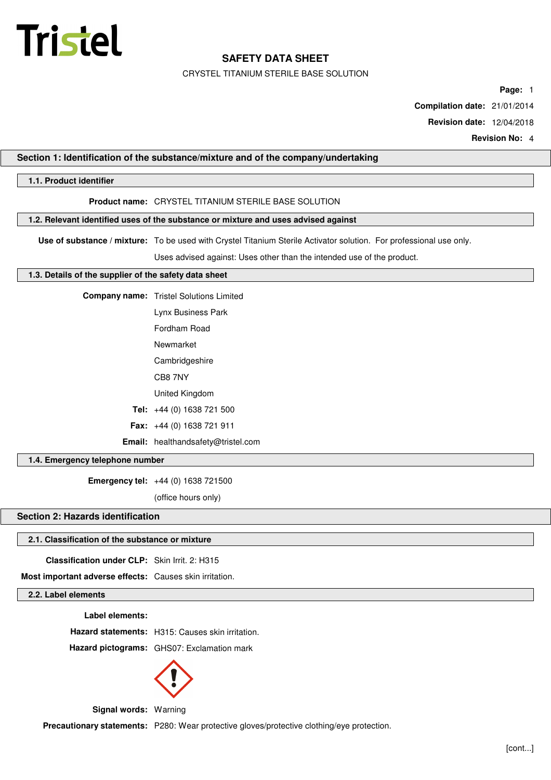

CRYSTEL TITANIUM STERILE BASE SOLUTION

**Page:** 1

**Compilation date:** 21/01/2014

**Revision date:** 12/04/2018

**Revision No:** 4

### **Section 1: Identification of the substance/mixture and of the company/undertaking**

## **1.1. Product identifier**

## **Product name:** CRYSTEL TITANIUM STERILE BASE SOLUTION

### **1.2. Relevant identified uses of the substance or mixture and uses advised against**

**Use of substance / mixture:** To be used with Crystel Titanium Sterile Activator solution. For professional use only.

Uses advised against: Uses other than the intended use of the product.

#### **1.3. Details of the supplier of the safety data sheet**

**Company name:** Tristel Solutions Limited

| Lynx Business Park |
|--------------------|
|                    |

Fordham Road

Newmarket

Cambridgeshire

CB8 7NY

United Kingdom

**Tel:** +44 (0) 1638 721 500

**Fax:** +44 (0) 1638 721 911

**Email:** healthandsafety@tristel.com

### **1.4. Emergency telephone number**

**Emergency tel:** +44 (0) 1638 721500

(office hours only)

# **Section 2: Hazards identification**

#### **2.1. Classification of the substance or mixture**

**Classification under CLP:** Skin Irrit. 2: H315

**Most important adverse effects:** Causes skin irritation.

### **2.2. Label elements**

**Label elements:**

**Hazard statements:** H315: Causes skin irritation.

**Hazard pictograms:** GHS07: Exclamation mark



**Signal words:** Warning

Precautionary statements: P280: Wear protective gloves/protective clothing/eye protection.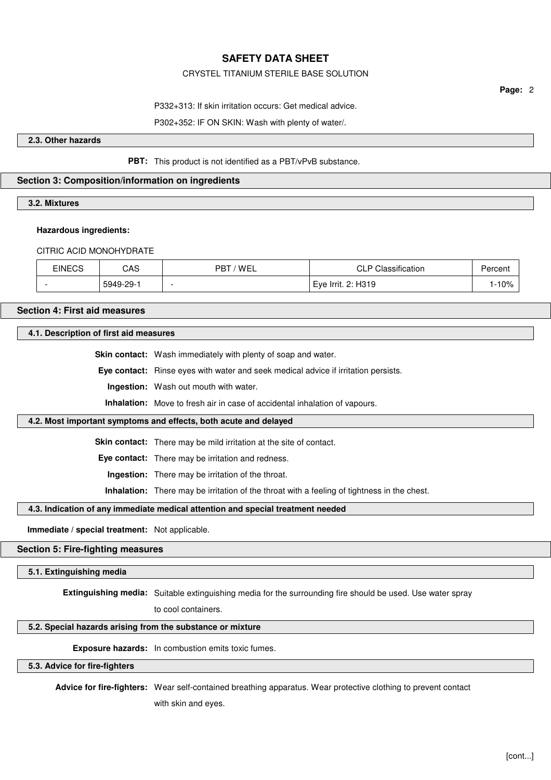### CRYSTEL TITANIUM STERILE BASE SOLUTION

**Page:** 2

P332+313: If skin irritation occurs: Get medical advice.

P302+352: IF ON SKIN: Wash with plenty of water/.

**2.3. Other hazards**

**PBT:** This product is not identified as a PBT/vPvB substance.

### **Section 3: Composition/information on ingredients**

**3.2. Mixtures**

#### **Hazardous ingredients:**

CITRIC ACID MONOHYDRATE

| <b>EINECS</b> | CAS       | ' WEL<br>PBT | <b>CLP Classification</b> | Percent                         |
|---------------|-----------|--------------|---------------------------|---------------------------------|
|               | 5949-29-1 | -            | Eye Irrit. 2: H319        | 10%<br>$\overline{\phantom{0}}$ |

### **Section 4: First aid measures**

### **4.1. Description of first aid measures**

**Skin contact:** Wash immediately with plenty of soap and water.

**Eye contact:** Rinse eyes with water and seek medical advice if irritation persists.

**Ingestion:** Wash out mouth with water.

**Inhalation:** Move to fresh air in case of accidental inhalation of vapours.

### **4.2. Most important symptoms and effects, both acute and delayed**

**Skin contact:** There may be mild irritation at the site of contact.

**Eye contact:** There may be irritation and redness.

**Ingestion:** There may be irritation of the throat.

**Inhalation:** There may be irritation of the throat with a feeling of tightness in the chest.

#### **4.3. Indication of any immediate medical attention and special treatment needed**

**Immediate / special treatment:** Not applicable.

#### **Section 5: Fire-fighting measures**

### **5.1. Extinguishing media**

**Extinguishing media:** Suitable extinguishing media for the surrounding fire should be used. Use water spray

to cool containers.

# **5.2. Special hazards arising from the substance or mixture**

**Exposure hazards:** In combustion emits toxic fumes.

**5.3. Advice for fire-fighters**

**Advice for fire-fighters:** Wear self-contained breathing apparatus. Wear protective clothing to prevent contact with skin and eyes.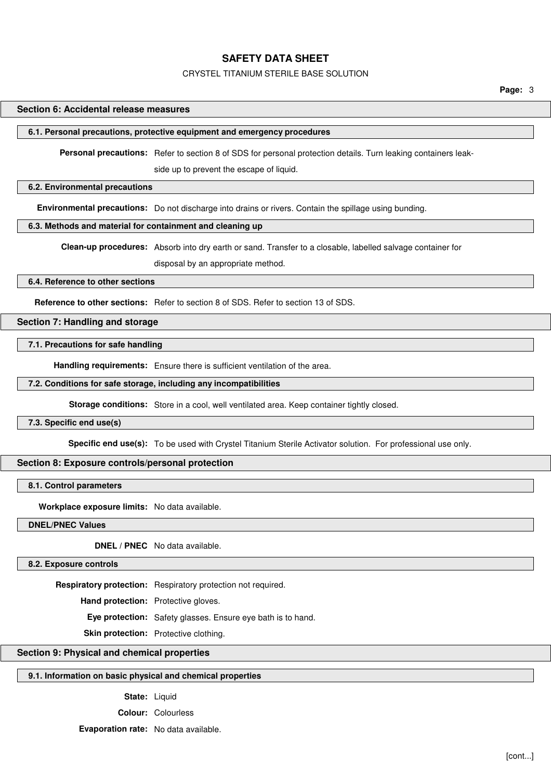#### CRYSTEL TITANIUM STERILE BASE SOLUTION

**Page:** 3

#### **Section 6: Accidental release measures**

#### **6.1. Personal precautions, protective equipment and emergency procedures**

**Personal precautions:** Refer to section 8 of SDS for personal protection details. Turn leaking containers leak-

side up to prevent the escape of liquid.

### **6.2. Environmental precautions**

**Environmental precautions:** Do not discharge into drains or rivers. Contain the spillage using bunding.

#### **6.3. Methods and material for containment and cleaning up**

**Clean-up procedures:** Absorb into dry earth or sand. Transfer to a closable, labelled salvage container for

disposal by an appropriate method.

### **6.4. Reference to other sections**

**Reference to other sections:** Refer to section 8 of SDS. Refer to section 13 of SDS.

#### **Section 7: Handling and storage**

### **7.1. Precautions for safe handling**

**Handling requirements:** Ensure there is sufficient ventilation of the area.

#### **7.2. Conditions for safe storage, including any incompatibilities**

**Storage conditions:** Store in a cool, well ventilated area. Keep container tightly closed.

#### **7.3. Specific end use(s)**

**Specific end use(s):** To be used with Crystel Titanium Sterile Activator solution. For professional use only.

### **Section 8: Exposure controls/personal protection**

#### **8.1. Control parameters**

**Workplace exposure limits:** No data available.

#### **DNEL/PNEC Values**

**DNEL / PNEC** No data available.

**8.2. Exposure controls**

**Respiratory protection:** Respiratory protection not required.

**Hand protection:** Protective gloves.

**Eye protection:** Safety glasses. Ensure eye bath is to hand.

**Skin protection:** Protective clothing.

## **Section 9: Physical and chemical properties**

### **9.1. Information on basic physical and chemical properties**

#### State: Liquid

**Colour:** Colourless

**Evaporation rate:** No data available.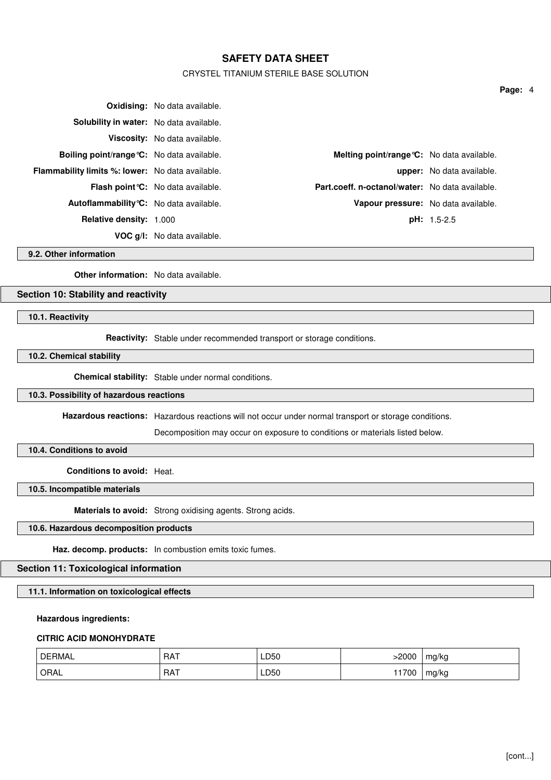### CRYSTEL TITANIUM STERILE BASE SOLUTION

|                                                         | <b>Oxidising:</b> No data available.      |                                                 |                                  |
|---------------------------------------------------------|-------------------------------------------|-------------------------------------------------|----------------------------------|
| Solubility in water: No data available.                 |                                           |                                                 |                                  |
|                                                         | Viscosity: No data available.             |                                                 |                                  |
| Boiling point/range °C: No data available.              |                                           | Melting point/range °C: No data available.      |                                  |
| <b>Flammability limits %: lower:</b> No data available. |                                           |                                                 | <b>upper:</b> No data available. |
|                                                         | <b>Flash point °C:</b> No data available. | Part.coeff. n-octanol/water: No data available. |                                  |
| <b>Autoflammability °C:</b> No data available.          |                                           | Vapour pressure: No data available.             |                                  |
| <b>Relative density: 1.000</b>                          |                                           |                                                 | $pH: 1.5-2.5$                    |
|                                                         | VOC g/l: No data available.               |                                                 |                                  |

**9.2. Other information**

**Other information:** No data available.

### **Section 10: Stability and reactivity**

**10.1. Reactivity**

**Reactivity:** Stable under recommended transport or storage conditions.

**10.2. Chemical stability**

**Chemical stability:** Stable under normal conditions.

#### **10.3. Possibility of hazardous reactions**

**Hazardous reactions:** Hazardous reactions will not occur under normal transport or storage conditions.

Decomposition may occur on exposure to conditions or materials listed below.

## **10.4. Conditions to avoid**

**Conditions to avoid:** Heat.

**10.5. Incompatible materials**

**Materials to avoid:** Strong oxidising agents. Strong acids.

### **10.6. Hazardous decomposition products**

**Haz. decomp. products:** In combustion emits toxic fumes.

# **Section 11: Toxicological information**

**11.1. Information on toxicological effects**

#### **Hazardous ingredients:**

#### **CITRIC ACID MONOHYDRATE**

| $\bigcap F^{pM}$<br>ิ ≺MAL | RAT        | LD50<br>___ | $-2000$ | mg/kg      |
|----------------------------|------------|-------------|---------|------------|
| ORAL                       | <b>RAT</b> | LD50        | 1700    | ma/ka<br>ີ |

**Page:** 4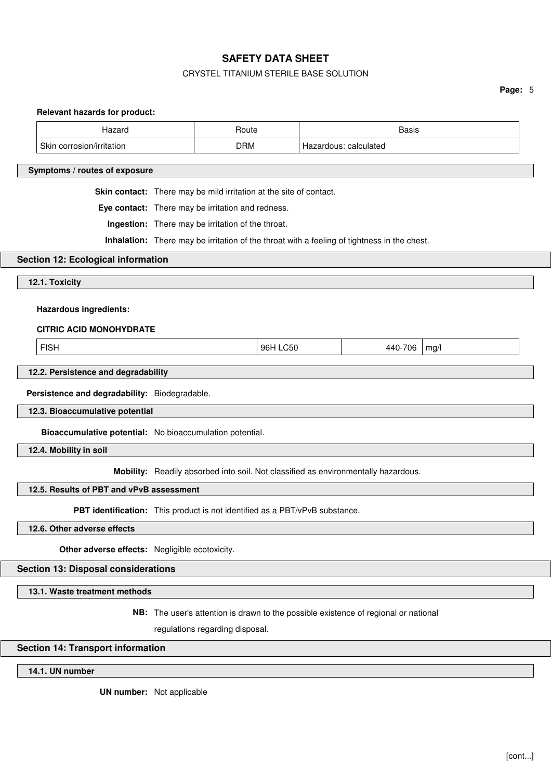## CRYSTEL TITANIUM STERILE BASE SOLUTION

|                                                                                             |                                                                                    |                                                                                     |  |         | Page: 5 |
|---------------------------------------------------------------------------------------------|------------------------------------------------------------------------------------|-------------------------------------------------------------------------------------|--|---------|---------|
| <b>Relevant hazards for product:</b><br>Hazard                                              |                                                                                    | Route                                                                               |  | Basis   |         |
| Skin corrosion/irritation                                                                   | <b>DRM</b><br>Hazardous: calculated                                                |                                                                                     |  |         |         |
|                                                                                             |                                                                                    |                                                                                     |  |         |         |
| Symptoms / routes of exposure                                                               |                                                                                    |                                                                                     |  |         |         |
|                                                                                             | Skin contact: There may be mild irritation at the site of contact.                 |                                                                                     |  |         |         |
|                                                                                             | Eye contact: There may be irritation and redness.                                  |                                                                                     |  |         |         |
|                                                                                             | Ingestion: There may be irritation of the throat.                                  |                                                                                     |  |         |         |
| Inhalation: There may be irritation of the throat with a feeling of tightness in the chest. |                                                                                    |                                                                                     |  |         |         |
| Section 12: Ecological information                                                          |                                                                                    |                                                                                     |  |         |         |
| 12.1. Toxicity                                                                              |                                                                                    |                                                                                     |  |         |         |
|                                                                                             |                                                                                    |                                                                                     |  |         |         |
| <b>Hazardous ingredients:</b>                                                               |                                                                                    |                                                                                     |  |         |         |
| <b>CITRIC ACID MONOHYDRATE</b>                                                              |                                                                                    |                                                                                     |  |         |         |
|                                                                                             |                                                                                    | 96H LC50                                                                            |  | 440-706 |         |
| <b>FISH</b>                                                                                 | mg/l                                                                               |                                                                                     |  |         |         |
| 12.2. Persistence and degradability                                                         |                                                                                    |                                                                                     |  |         |         |
| Persistence and degradability: Biodegradable.                                               |                                                                                    |                                                                                     |  |         |         |
| 12.3. Bioaccumulative potential                                                             |                                                                                    |                                                                                     |  |         |         |
|                                                                                             | Bioaccumulative potential: No bioaccumulation potential.                           |                                                                                     |  |         |         |
| 12.4. Mobility in soil                                                                      |                                                                                    |                                                                                     |  |         |         |
|                                                                                             | Mobility: Readily absorbed into soil. Not classified as environmentally hazardous. |                                                                                     |  |         |         |
| 12.5. Results of PBT and vPvB assessment                                                    |                                                                                    |                                                                                     |  |         |         |
|                                                                                             |                                                                                    | PBT identification: This product is not identified as a PBT/vPvB substance.         |  |         |         |
| 12.6. Other adverse effects                                                                 |                                                                                    |                                                                                     |  |         |         |
| Other adverse effects: Negligible ecotoxicity.                                              |                                                                                    |                                                                                     |  |         |         |
| <b>Section 13: Disposal considerations</b>                                                  |                                                                                    |                                                                                     |  |         |         |
| 13.1. Waste treatment methods                                                               |                                                                                    |                                                                                     |  |         |         |
|                                                                                             |                                                                                    | NB: The user's attention is drawn to the possible existence of regional or national |  |         |         |

regulations regarding disposal.

## **Section 14: Transport information**

**14.1. UN number**

**UN number:** Not applicable